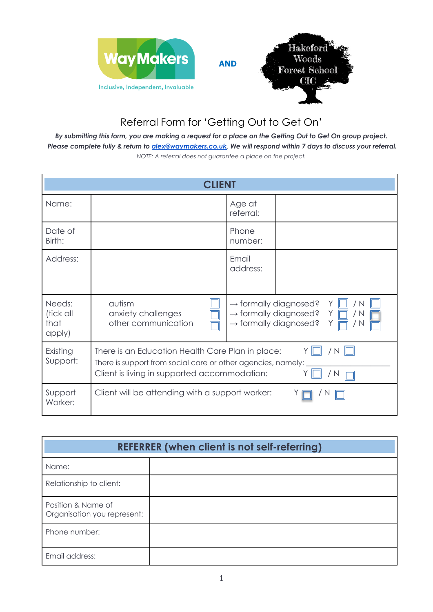

## Referral Form for 'Getting Out to Get On'

*By submitting this form, you are making a request for a place on the Getting Out to Get On group project. Please complete fully & return to alex@waymakers.co.uk*. *We will respond within 7 days to discuss your referral. NOTE: A referral does not guarantee a place on the project.*

| <b>CLIENT</b>                         |                                                                                                                                                                                     |                     |  |  |
|---------------------------------------|-------------------------------------------------------------------------------------------------------------------------------------------------------------------------------------|---------------------|--|--|
| Name:                                 |                                                                                                                                                                                     | Age at<br>referral: |  |  |
| Date of<br>Birth:                     |                                                                                                                                                                                     | Phone<br>number:    |  |  |
| Address:                              |                                                                                                                                                                                     | Email<br>address:   |  |  |
| Needs:<br>(tick all<br>that<br>apply) | $\rightarrow$ formally diagnosed?<br>autism<br>Y<br>$\rightarrow$ formally diagnosed?<br>anxiety challenges<br>Y<br>/ N<br>other communication<br>$\rightarrow$ formally diagnosed? |                     |  |  |
| Existing<br>Support:                  | There is an Education Health Care Plan in place:<br>There is support from social care or other agencies, namely:<br>Client is living in supported accommodation:<br>N               |                     |  |  |
| Support<br>Worker:                    | Client will be attending with a support worker:                                                                                                                                     |                     |  |  |

| <b>REFERRER (when client is not self-referring)</b> |  |  |  |  |
|-----------------------------------------------------|--|--|--|--|
| Name:                                               |  |  |  |  |
| Relationship to client:                             |  |  |  |  |
| Position & Name of<br>Organisation you represent:   |  |  |  |  |
| Phone number:                                       |  |  |  |  |
| Email address:                                      |  |  |  |  |